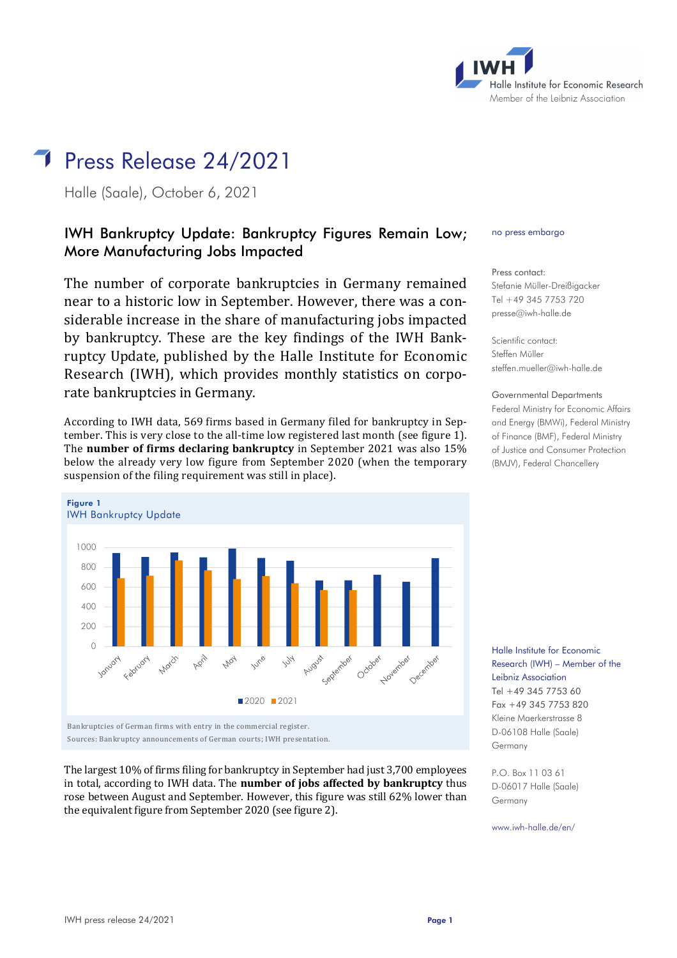

# Press Release 24/2021

Halle (Saale), October 6, 2021

# IWH Bankruptcy Update: Bankruptcy Figures Remain Low; More Manufacturing Jobs Impacted

The number of corporate bankruptcies in Germany remained near to a historic low in September. However, there was a considerable increase in the share of manufacturing jobs impacted by bankruptcy. These are the key findings of the IWH Bankruptcy Update, published by the Halle Institute for Economic Research (IWH), which provides monthly statistics on corporate bankruptcies in Germany.

According to IWH data, 569 firms based in Germany filed for bankruptcy in September. This is very close to the all-time low registered last month (see figure 1). The **number of firms declaring bankruptcy** in September 2021 was also 15% below the already very low figure from September 2020 (when the temporary suspension of the filing requirement was still in place).



The largest 10% of firms filing for bankruptcy in September had just 3,700 employees in total, according to IWH data. The **number of jobs affected by bankruptcy** thus rose between August and September. However, this figure was still 62% lower than the equivalent figure from September 2020 (see figure 2).

#### no press embargo

Press contact: Stefanie Müller-Dreißigacker Tel +49 345 7753 720 [presse@iwh-halle.de](mailto:presse@iwh-halle.de)

Scientific contact: Steffen Müller [steffen.mueller@iwh-halle.de](mailto:steffen.mueller@iwh-halle.de)

### Governmental Departments Federal Ministry for Economic Affairs and Energy (BMWi), Federal Ministry of Finance (BMF), Federal Ministry of Justice and Consumer Protection (BMJV), Federal Chancellery

Halle Institute for Economic Research (IWH) – Member of the Leibniz Association Tel +49 345 7753 60 Fax +49 345 7753 820 Kleine Maerkerstrasse 8 D-06108 Halle (Saale) Germany

P.O. Box 11 03 61 D-06017 Halle (Saale) Germany

www.iwh-halle.de/en/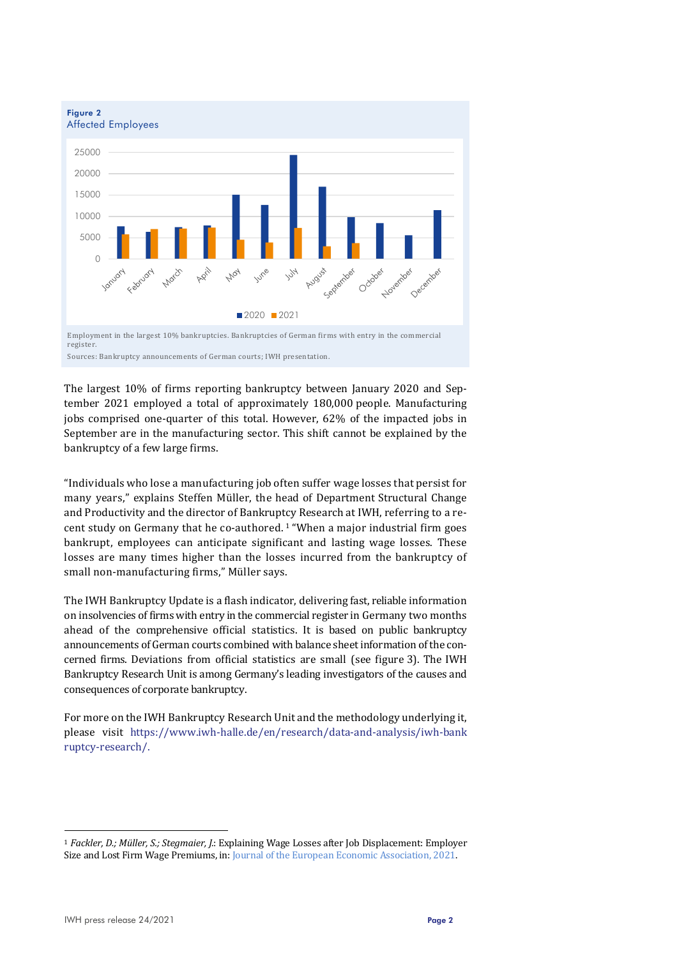

The largest 10% of firms reporting bankruptcy between January 2020 and September 2021 employed a total of approximately 180,000 people. Manufacturing jobs comprised one-quarter of this total. However, 62% of the impacted jobs in September are in the manufacturing sector. This shift cannot be explained by the bankruptcy of a few large firms.

"Individuals who lose a manufacturing job often suffer wage losses that persist for many years," explains Steffen Müller, the head of Department Structural Change and Productivity and the director of Bankruptcy Research at IWH, referring to a recent study on Germany that he co-authored. [1](#page-1-0) "When a major industrial firm goes bankrupt, employees can anticipate significant and lasting wage losses. These losses are many times higher than the losses incurred from the bankruptcy of small non-manufacturing firms," Müller says.

The IWH Bankruptcy Update is a flash indicator, delivering fast, reliable information on insolvencies of firms with entry in the commercial register in Germany two months ahead of the comprehensive official statistics. It is based on public bankruptcy announcements of German courts combined with balance sheet information of the concerned firms. Deviations from official statistics are small (see figure 3). The IWH Bankruptcy Research Unit is among Germany's leading investigators of the causes and consequences of corporate bankruptcy.

For more on the IWH Bankruptcy Research Unit and the methodology underlying it, please visit [https://www.iwh-halle.de/en/research/data-and-analysis/iwh-bank](https://www.iwh-halle.de/en/research/data-and-analysis/iwh-bankruptcy-research/) [ruptcy-research/.](https://www.iwh-halle.de/en/research/data-and-analysis/iwh-bankruptcy-research/)

<span id="page-1-0"></span><sup>1</sup> *Fackler, D.; Müller, S.; Stegmaier, J.*: Explaining Wage Losses after Job Displacement: Employer Size and Lost Firm Wage Premiums, in[: Journal of the European Economic Association, 2021.](https://academic.oup.com/jeea/advance-article/doi/10.1093/jeea/jvab022/6284041)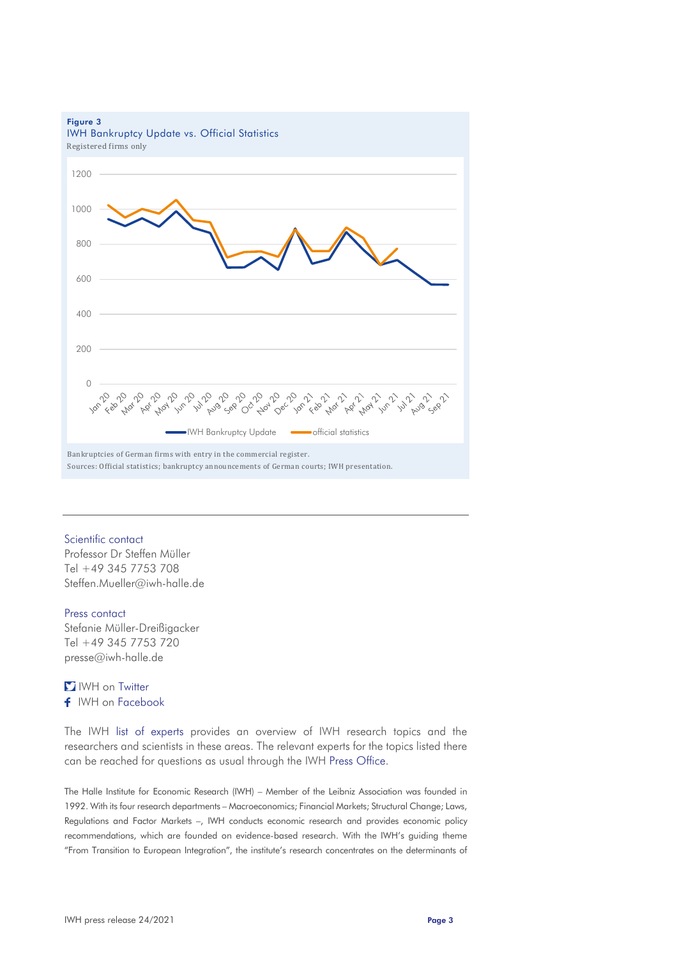

### Scientific contact

Professor Dr Steffen Müller Tel +49 345 7753 708 [Steffen.Mueller@iwh-halle.de](mailto:Steffen.Mueller@iwh-halle.de)

#### Press contact

Stefanie Müller-Dreißigacker Tel +49 345 7753 720 [presse@iwh-halle.de](mailto:presse@iwh-halle.de) 

## **I** IWH on [Twitter](https://twitter.com/iwh_halle) f IWH on [Facebook](https://www.facebook.com/Leibniz-Institut-f%C3%BCr-Wirtschaftsforschung-Halle-IWH-882512998544918/)

The IWH [list of experts](https://www.iwh-halle.de/en/press/topic-related-experts/) provides an overview of IWH research topics and the researchers and scientists in these areas. The relevant experts for the topics listed there can be reached for questions as usual through the IWH [Press Office.](https://www.iwh-halle.de/en/about-the-iwh/research-departments/detail/public-relations/)

The Halle Institute for Economic Research (IWH) – Member of the Leibniz Association was founded in 1992. With its four research departments – Macroeconomics; Financial Markets; Structural Change; Laws, Regulations and Factor Markets –, IWH conducts economic research and provides economic policy recommendations, which are founded on evidence-based research. With the IWH's guiding theme "From Transition to European Integration", the institute's research concentrates on the determinants of